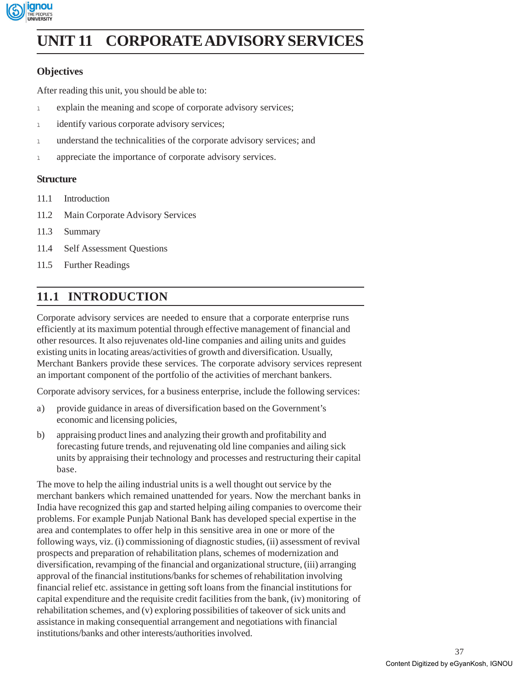

# **Corporate Advisory UNIT 11 CORPORATE ADVISORY SERVICES Services**

# **Objectives**

After reading this unit, you should be able to:

- <sup>l</sup> explain the meaning and scope of corporate advisory services;
- 1 identify various corporate advisory services;
- 1 understand the technicalities of the corporate advisory services; and
- 1 appreciate the importance of corporate advisory services.

### **Structure**

- 11.1 Introduction
- 11.2 Main Corporate Advisory Services
- 11.3 Summary
- 11.4 Self Assessment Questions
- 11.5 Further Readings

# **11.1 INTRODUCTION**

Corporate advisory services are needed to ensure that a corporate enterprise runs efficiently at its maximum potential through effective management of financial and other resources. It also rejuvenates old-line companies and ailing units and guides existing units in locating areas/activities of growth and diversification. Usually, Merchant Bankers provide these services. The corporate advisory services represent an important component of the portfolio of the activities of merchant bankers.

Corporate advisory services, for a business enterprise, include the following services:

- a) provide guidance in areas of diversification based on the Government's economic and licensing policies,
- b) appraising product lines and analyzing their growth and profitability and forecasting future trends, and rejuvenating old line companies and ailing sick units by appraising their technology and processes and restructuring their capital base.

The move to help the ailing industrial units is a well thought out service by the merchant bankers which remained unattended for years. Now the merchant banks in India have recognized this gap and started helping ailing companies to overcome their problems. For example Punjab National Bank has developed special expertise in the area and contemplates to offer help in this sensitive area in one or more of the following ways, viz. (i) commissioning of diagnostic studies, (ii) assessment of revival prospects and preparation of rehabilitation plans, schemes of modernization and diversification, revamping of the financial and organizational structure, (iii) arranging approval of the financial institutions/banks for schemes of rehabilitation involving financial relief etc. assistance in getting soft loans from the financial institutions for capital expenditure and the requisite credit facilities from the bank, (iv) monitoring of rehabilitation schemes, and (v) exploring possibilities of takeover of sick units and assistance in making consequential arrangement and negotiations with financial institutions/banks and other interests/authorities involved.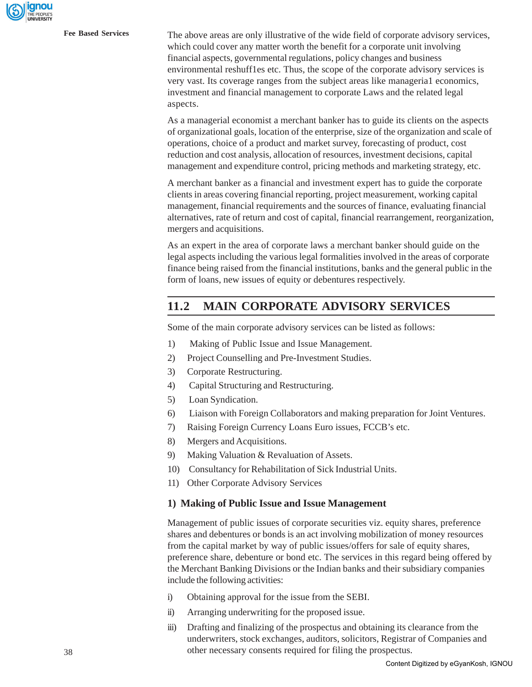**Fee Based Services** The above areas are only illustrative of the wide field of corporate advisory services, which could cover any matter worth the benefit for a corporate unit involving financial aspects, governmental regulations, policy changes and business environmental reshuff1es etc. Thus, the scope of the corporate advisory services is very vast. Its coverage ranges from the subject areas like manageria1 economics, investment and financial management to corporate Laws and the related legal aspects.

> As a managerial economist a merchant banker has to guide its clients on the aspects of organizational goals, location of the enterprise, size of the organization and scale of operations, choice of a product and market survey, forecasting of product, cost reduction and cost analysis, allocation of resources, investment decisions, capital management and expenditure control, pricing methods and marketing strategy, etc.

> A merchant banker as a financial and investment expert has to guide the corporate clients in areas covering financial reporting, project measurement, working capital management, financial requirements and the sources of finance, evaluating financial alternatives, rate of return and cost of capital, financial rearrangement, reorganization, mergers and acquisitions.

> As an expert in the area of corporate laws a merchant banker should guide on the legal aspects including the various legal formalities involved in the areas of corporate finance being raised from the financial institutions, banks and the general public in the form of loans, new issues of equity or debentures respectively.

# **11.2 MAIN CORPORATE ADVISORY SERVICES**

Some of the main corporate advisory services can be listed as follows:

- 1) Making of Public Issue and Issue Management.
- 2) Project Counselling and Pre-Investment Studies.
- 3) Corporate Restructuring.
- 4) Capital Structuring and Restructuring.
- 5) Loan Syndication.
- 6) Liaison with Foreign Collaborators and making preparation for Joint Ventures.
- 7) Raising Foreign Currency Loans Euro issues, FCCB's etc.
- 8) Mergers and Acquisitions.
- 9) Making Valuation & Revaluation of Assets.
- 10) Consultancy for Rehabilitation of Sick Industrial Units.
- 11) Other Corporate Advisory Services

#### **1) Making of Public Issue and Issue Management**

Management of public issues of corporate securities viz. equity shares, preference shares and debentures or bonds is an act involving mobilization of money resources from the capital market by way of public issues/offers for sale of equity shares, preference share, debenture or bond etc. The services in this regard being offered by the Merchant Banking Divisions or the Indian banks and their subsidiary companies include the following activities:

- i) Obtaining approval for the issue from the SEBI.
- ii) Arranging underwriting for the proposed issue.
- iii) Drafting and finalizing of the prospectus and obtaining its clearance from the underwriters, stock exchanges, auditors, solicitors, Registrar of Companies and other necessary consents required for filing the prospectus.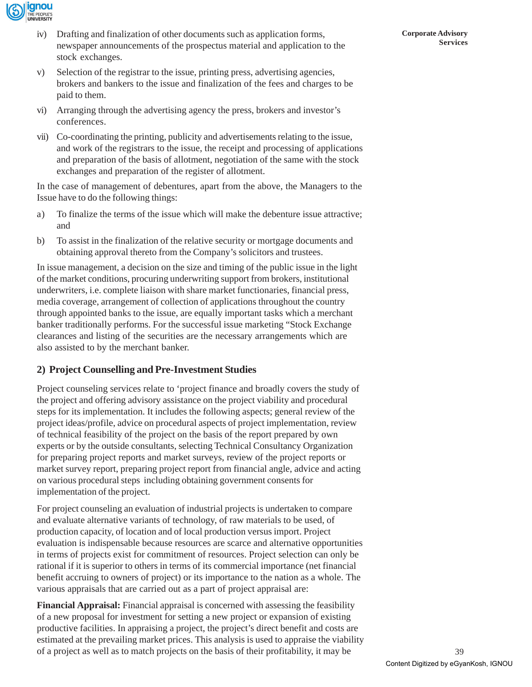

- iv) Drafting and finalization of other documents such as application forms, newspaper announcements of the prospectus material and application to the stock exchanges.
- v) Selection of the registrar to the issue, printing press, advertising agencies, brokers and bankers to the issue and finalization of the fees and charges to be paid to them.
- vi) Arranging through the advertising agency the press, brokers and investor's conferences.
- vii) Co-coordinating the printing, publicity and advertisements relating to the issue, and work of the registrars to the issue, the receipt and processing of applications and preparation of the basis of allotment, negotiation of the same with the stock exchanges and preparation of the register of allotment.

In the case of management of debentures, apart from the above, the Managers to the Issue have to do the following things:

- a) To finalize the terms of the issue which will make the debenture issue attractive; and
- b) To assist in the finalization of the relative security or mortgage documents and obtaining approval thereto from the Company's solicitors and trustees.

In issue management, a decision on the size and timing of the public issue in the light of the market conditions, procuring underwriting support from brokers, institutional underwriters, i.e. complete liaison with share market functionaries, financial press, media coverage, arrangement of collection of applications throughout the country through appointed banks to the issue, are equally important tasks which a merchant banker traditionally performs. For the successful issue marketing "Stock Exchange clearances and listing of the securities are the necessary arrangements which are also assisted to by the merchant banker.

## **2) Project Counselling and Pre-Investment Studies**

Project counseling services relate to 'project finance and broadly covers the study of the project and offering advisory assistance on the project viability and procedural steps for its implementation. It includes the following aspects; general review of the project ideas/profile, advice on procedural aspects of project implementation, review of technical feasibility of the project on the basis of the report prepared by own experts or by the outside consultants, selecting Technical Consultancy Organization for preparing project reports and market surveys, review of the project reports or market survey report, preparing project report from financial angle, advice and acting on various procedural steps including obtaining government consents for implementation of the project.

For project counseling an evaluation of industrial projects is undertaken to compare and evaluate alternative variants of technology, of raw materials to be used, of production capacity, of location and of local production versus import. Project evaluation is indispensable because resources are scarce and alternative opportunities in terms of projects exist for commitment of resources. Project selection can only be rational if it is superior to others in terms of its commercial importance (net financial benefit accruing to owners of project) or its importance to the nation as a whole. The various appraisals that are carried out as a part of project appraisal are:

**Financial Appraisal:** Financial appraisal is concerned with assessing the feasibility of a new proposal for investment for setting a new project or expansion of existing productive facilities. In appraising a project, the project's direct benefit and costs are estimated at the prevailing market prices. This analysis is used to appraise the viability of a project as well as to match projects on the basis of their profitability, it may be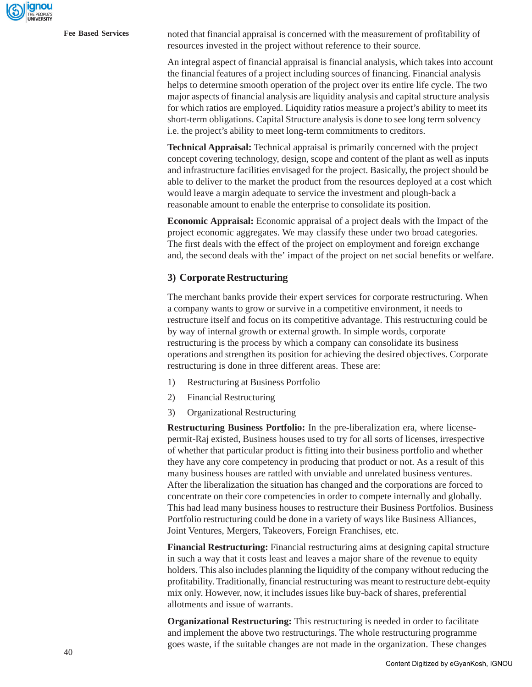**Fee Based Services** noted that financial appraisal is concerned with the measurement of profitability of resources invested in the project without reference to their source.

> An integral aspect of financial appraisal is financial analysis, which takes into account the financial features of a project including sources of financing. Financial analysis helps to determine smooth operation of the project over its entire life cycle. The two major aspects of financial analysis are liquidity analysis and capital structure analysis for which ratios are employed. Liquidity ratios measure a project's ability to meet its short-term obligations. Capital Structure analysis is done to see long term solvency i.e. the project's ability to meet long-term commitments to creditors.

> **Technical Appraisal:** Technical appraisal is primarily concerned with the project concept covering technology, design, scope and content of the plant as well as inputs and infrastructure facilities envisaged for the project. Basically, the project should be able to deliver to the market the product from the resources deployed at a cost which would leave a margin adequate to service the investment and plough-back a reasonable amount to enable the enterprise to consolidate its position.

> **Economic Appraisal:** Economic appraisal of a project deals with the Impact of the project economic aggregates. We may classify these under two broad categories. The first deals with the effect of the project on employment and foreign exchange and, the second deals with the' impact of the project on net social benefits or welfare.

#### **3) Corporate Restructuring**

The merchant banks provide their expert services for corporate restructuring. When a company wants to grow or survive in a competitive environment, it needs to restructure itself and focus on its competitive advantage. This restructuring could be by way of internal growth or external growth. In simple words, corporate restructuring is the process by which a company can consolidate its business operations and strengthen its position for achieving the desired objectives. Corporate restructuring is done in three different areas. These are:

- 1) Restructuring at Business Portfolio
- 2) Financial Restructuring
- 3) Organizational Restructuring

**Restructuring Business Portfolio:** In the pre-liberalization era, where licensepermit-Raj existed, Business houses used to try for all sorts of licenses, irrespective of whether that particular product is fitting into their business portfolio and whether they have any core competency in producing that product or not. As a result of this many business houses are rattled with unviable and unrelated business ventures. After the liberalization the situation has changed and the corporations are forced to concentrate on their core competencies in order to compete internally and globally. This had lead many business houses to restructure their Business Portfolios. Business Portfolio restructuring could be done in a variety of ways like Business Alliances, Joint Ventures, Mergers, Takeovers, Foreign Franchises, etc.

**Financial Restructuring:** Financial restructuring aims at designing capital structure in such a way that it costs least and leaves a major share of the revenue to equity holders. This also includes planning the liquidity of the company without reducing the profitability. Traditionally, financial restructuring was meant to restructure debt-equity mix only. However, now, it includes issues like buy-back of shares, preferential allotments and issue of warrants.

**Organizational Restructuring:** This restructuring is needed in order to facilitate and implement the above two restructurings. The whole restructuring programme goes waste, if the suitable changes are not made in the organization. These changes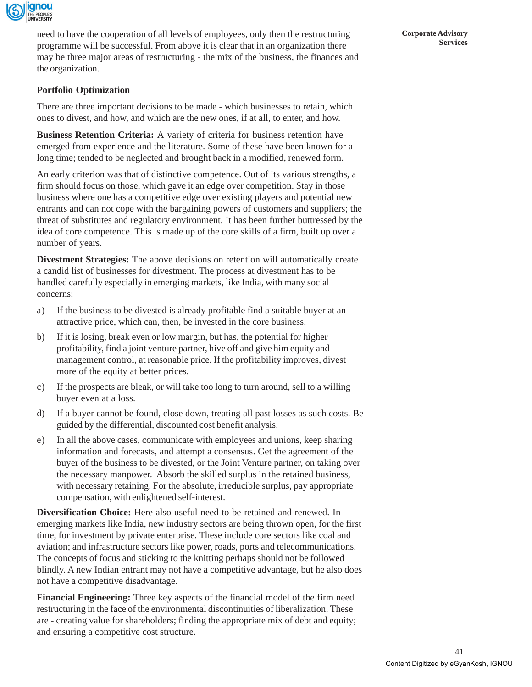

need to have the cooperation of all levels of employees, only then the restructuring programme will be successful. From above it is clear that in an organization there may be three major areas of restructuring - the mix of the business, the finances and the organization.

**Portfolio Optimization**

There are three important decisions to be made - which businesses to retain, which ones to divest, and how, and which are the new ones, if at all, to enter, and how.

**Business Retention Criteria:** A variety of criteria for business retention have emerged from experience and the literature. Some of these have been known for a long time; tended to be neglected and brought back in a modified, renewed form.

An early criterion was that of distinctive competence. Out of its various strengths, a firm should focus on those, which gave it an edge over competition. Stay in those business where one has a competitive edge over existing players and potential new entrants and can not cope with the bargaining powers of customers and suppliers; the threat of substitutes and regulatory environment. It has been further buttressed by the idea of core competence. This is made up of the core skills of a firm, built up over a number of years.

**Divestment Strategies:** The above decisions on retention will automatically create a candid list of businesses for divestment. The process at divestment has to be handled carefully especially in emerging markets, like India, with many social concerns:

- a) If the business to be divested is already profitable find a suitable buyer at an attractive price, which can, then, be invested in the core business.
- b) If it is losing, break even or low margin, but has, the potential for higher profitability, find a joint venture partner, hive off and give him equity and management control, at reasonable price. If the profitability improves, divest more of the equity at better prices.
- c) If the prospects are bleak, or will take too long to turn around, sell to a willing buyer even at a loss.
- d) If a buyer cannot be found, close down, treating all past losses as such costs. Be guided by the differential, discounted cost benefit analysis.
- e) In all the above cases, communicate with employees and unions, keep sharing information and forecasts, and attempt a consensus. Get the agreement of the buyer of the business to be divested, or the Joint Venture partner, on taking over the necessary manpower. Absorb the skilled surplus in the retained business, with necessary retaining. For the absolute, irreducible surplus, pay appropriate compensation, with enlightened self-interest.

**Diversification Choice:** Here also useful need to be retained and renewed. In emerging markets like India, new industry sectors are being thrown open, for the first time, for investment by private enterprise. These include core sectors like coal and aviation; and infrastructure sectors like power, roads, ports and telecommunications. The concepts of focus and sticking to the knitting perhaps should not be followed blindly. A new Indian entrant may not have a competitive advantage, but he also does not have a competitive disadvantage.

**Financial Engineering:** Three key aspects of the financial model of the firm need restructuring in the face of the environmental discontinuities of liberalization. These are - creating value for shareholders; finding the appropriate mix of debt and equity; and ensuring a competitive cost structure.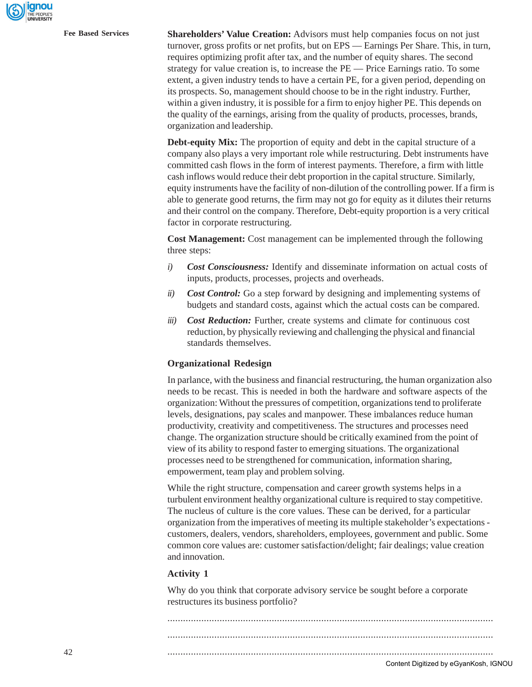**Fee Based Services Shareholders' Value Creation:** Advisors must help companies focus on not just turnover, gross profits or net profits, but on EPS — Earnings Per Share. This, in turn, requires optimizing profit after tax, and the number of equity shares. The second strategy for value creation is, to increase the PE — Price Earnings ratio. To some extent, a given industry tends to have a certain PE, for a given period, depending on its prospects. So, management should choose to be in the right industry. Further, within a given industry, it is possible for a firm to enjoy higher PE. This depends on the quality of the earnings, arising from the quality of products, processes, brands, organization and leadership.

> **Debt-equity Mix:** The proportion of equity and debt in the capital structure of a company also plays a very important role while restructuring. Debt instruments have committed cash flows in the form of interest payments. Therefore, a firm with little cash inflows would reduce their debt proportion in the capital structure. Similarly, equity instruments have the facility of non-dilution of the controlling power. If a firm is able to generate good returns, the firm may not go for equity as it dilutes their returns and their control on the company. Therefore, Debt-equity proportion is a very critical factor in corporate restructuring.

**Cost Management:** Cost management can be implemented through the following three steps:

- *i) Cost Consciousness:* Identify and disseminate information on actual costs of inputs, products, processes, projects and overheads.
- *ii) Cost Control:* Go a step forward by designing and implementing systems of budgets and standard costs, against which the actual costs can be compared.
- *iii) Cost Reduction:* Further, create systems and climate for continuous cost reduction, by physically reviewing and challenging the physical and financial standards themselves.

#### **Organizational Redesign**

In parlance, with the business and financial restructuring, the human organization also needs to be recast. This is needed in both the hardware and software aspects of the organization: Without the pressures of competition, organizations tend to proliferate levels, designations, pay scales and manpower. These imbalances reduce human productivity, creativity and competitiveness. The structures and processes need change. The organization structure should be critically examined from the point of view of its ability to respond faster to emerging situations. The organizational processes need to be strengthened for communication, information sharing, empowerment, team play and problem solving.

While the right structure, compensation and career growth systems helps in a turbulent environment healthy organizational culture is required to stay competitive. The nucleus of culture is the core values. These can be derived, for a particular organization from the imperatives of meeting its multiple stakeholder's expectations customers, dealers, vendors, shareholders, employees, government and public. Some common core values are: customer satisfaction/delight; fair dealings; value creation and innovation.

#### **Activity 1**

Why do you think that corporate advisory service be sought before a corporate restructures its business portfolio?

............................................................................................................................. ............................................................................................................................. .............................................................................................................................

Content Digitized by eGyanKosh, IGNOU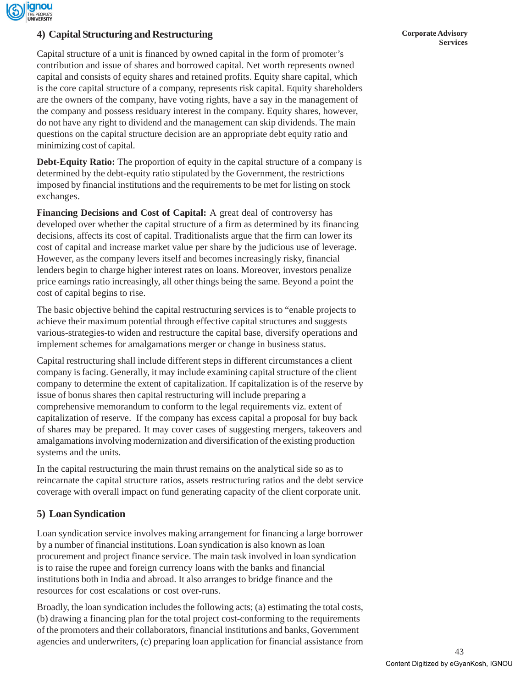

# **Services 4) Capital Structuring and Restructuring**

Capital structure of a unit is financed by owned capital in the form of promoter's contribution and issue of shares and borrowed capital. Net worth represents owned capital and consists of equity shares and retained profits. Equity share capital, which is the core capital structure of a company, represents risk capital. Equity shareholders are the owners of the company, have voting rights, have a say in the management of the company and possess residuary interest in the company. Equity shares, however, do not have any right to dividend and the management can skip dividends. The main questions on the capital structure decision are an appropriate debt equity ratio and minimizing cost of capital.

**Debt-Equity Ratio:** The proportion of equity in the capital structure of a company is determined by the debt-equity ratio stipulated by the Government, the restrictions imposed by financial institutions and the requirements to be met for listing on stock exchanges.

**Financing Decisions and Cost of Capital:** A great deal of controversy has developed over whether the capital structure of a firm as determined by its financing decisions, affects its cost of capital. Traditionalists argue that the firm can lower its cost of capital and increase market value per share by the judicious use of leverage. However, as the company levers itself and becomes increasingly risky, financial lenders begin to charge higher interest rates on loans. Moreover, investors penalize price earnings ratio increasingly, all other things being the same. Beyond a point the cost of capital begins to rise.

The basic objective behind the capital restructuring services is to "enable projects to achieve their maximum potential through effective capital structures and suggests various-strategies-to widen and restructure the capital base, diversify operations and implement schemes for amalgamations merger or change in business status.

Capital restructuring shall include different steps in different circumstances a client company is facing. Generally, it may include examining capital structure of the client company to determine the extent of capitalization. If capitalization is of the reserve by issue of bonus shares then capital restructuring will include preparing a comprehensive memorandum to conform to the legal requirements viz. extent of capitalization of reserve. If the company has excess capital a proposal for buy back of shares may be prepared. It may cover cases of suggesting mergers, takeovers and amalgamations involving modernization and diversification of the existing production systems and the units.

In the capital restructuring the main thrust remains on the analytical side so as to reincarnate the capital structure ratios, assets restructuring ratios and the debt service coverage with overall impact on fund generating capacity of the client corporate unit.

## **5) Loan Syndication**

Loan syndication service involves making arrangement for financing a large borrower by a number of financial institutions. Loan syndication is also known as loan procurement and project finance service. The main task involved in loan syndication is to raise the rupee and foreign currency loans with the banks and financial institutions both in India and abroad. It also arranges to bridge finance and the resources for cost escalations or cost over-runs.

Broadly, the loan syndication includes the following acts; (a) estimating the total costs, (b) drawing a financing plan for the total project cost-conforming to the requirements of the promoters and their collaborators, financial institutions and banks, Government agencies and underwriters, (c) preparing loan application for financial assistance from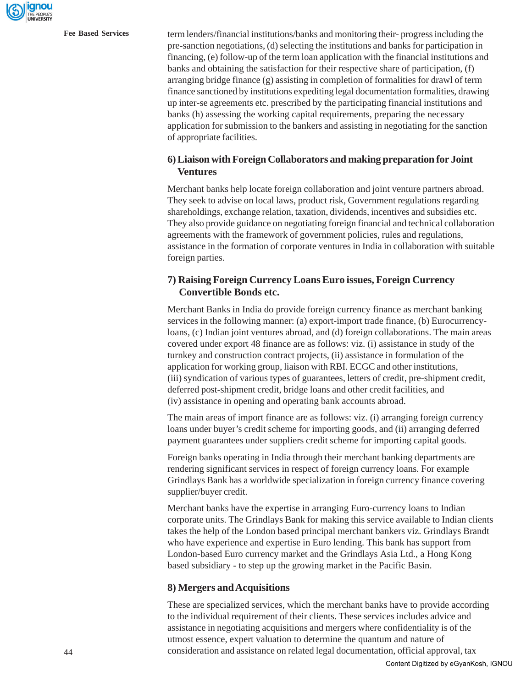**Fee Based Services** term lenders/financial institutions/banks and monitoring their- progress including the pre-sanction negotiations, (d) selecting the institutions and banks for participation in financing, (e) follow-up of the term loan application with the financial institutions and banks and obtaining the satisfaction for their respective share of participation, (f) arranging bridge finance (g) assisting in completion of formalities for drawl of term finance sanctioned by institutions expediting legal documentation formalities, drawing up inter-se agreements etc. prescribed by the participating financial institutions and banks (h) assessing the working capital requirements, preparing the necessary application for submission to the bankers and assisting in negotiating for the sanction of appropriate facilities.

### **6)Liaison with Foreign Collaborators and making preparation for Joint Ventures**

Merchant banks help locate foreign collaboration and joint venture partners abroad. They seek to advise on local laws, product risk, Government regulations regarding shareholdings, exchange relation, taxation, dividends, incentives and subsidies etc. They also provide guidance on negotiating foreign financial and technical collaboration agreements with the framework of government policies, rules and regulations, assistance in the formation of corporate ventures in India in collaboration with suitable foreign parties.

## **7) Raising Foreign Currency Loans Euro issues, Foreign Currency Convertible Bonds etc.**

Merchant Banks in India do provide foreign currency finance as merchant banking services in the following manner: (a) export-import trade finance, (b) Eurocurrencyloans, (c) Indian joint ventures abroad, and (d) foreign collaborations. The main areas covered under export 48 finance are as follows: viz. (i) assistance in study of the turnkey and construction contract projects, (ii) assistance in formulation of the application for working group, liaison with RBI. ECGC and other institutions, (iii) syndication of various types of guarantees, letters of credit, pre-shipment credit, deferred post-shipment credit, bridge loans and other credit facilities, and (iv) assistance in opening and operating bank accounts abroad.

The main areas of import finance are as follows: viz. (i) arranging foreign currency loans under buyer's credit scheme for importing goods, and (ii) arranging deferred payment guarantees under suppliers credit scheme for importing capital goods.

Foreign banks operating in India through their merchant banking departments are rendering significant services in respect of foreign currency loans. For example Grindlays Bank has a worldwide specialization in foreign currency finance covering supplier/buyer credit.

Merchant banks have the expertise in arranging Euro-currency loans to Indian corporate units. The Grindlays Bank for making this service available to Indian clients takes the help of the London based principal merchant bankers viz. Grindlays Brandt who have experience and expertise in Euro lending. This bank has support from London-based Euro currency market and the Grindlays Asia Ltd., a Hong Kong based subsidiary - to step up the growing market in the Pacific Basin.

#### **8) Mergers and Acquisitions**

These are specialized services, which the merchant banks have to provide according to the individual requirement of their clients. These services includes advice and assistance in negotiating acquisitions and mergers where confidentiality is of the utmost essence, expert valuation to determine the quantum and nature of consideration and assistance on related legal documentation, official approval, tax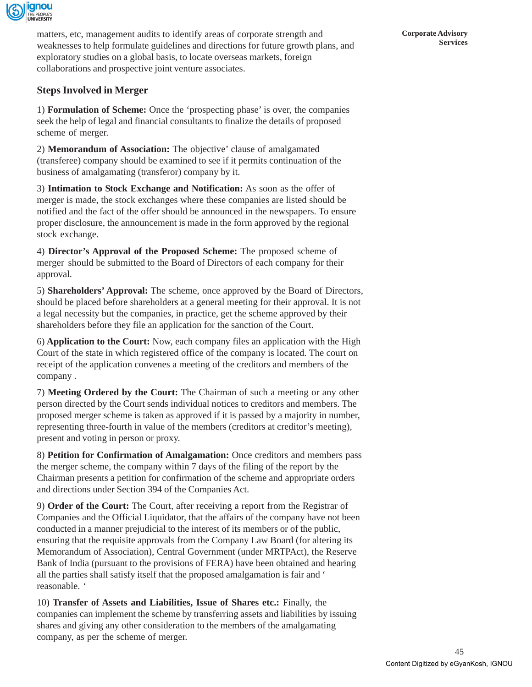

matters, etc, management audits to identify areas of corporate strength and weaknesses to help formulate guidelines and directions for future growth plans, and exploratory studies on a global basis, to locate overseas markets, foreign collaborations and prospective joint venture associates.

## **Steps Involved in Merger**

1) **Formulation of Scheme:** Once the 'prospecting phase' is over, the companies seek the help of legal and financial consultants to finalize the details of proposed scheme of merger.

2) **Memorandum of Association:** The objective' clause of amalgamated (transferee) company should be examined to see if it permits continuation of the business of amalgamating (transferor) company by it.

3) **Intimation to Stock Exchange and Notification:** As soon as the offer of merger is made, the stock exchanges where these companies are listed should be notified and the fact of the offer should be announced in the newspapers. To ensure proper disclosure, the announcement is made in the form approved by the regional stock exchange.

4) **Director's Approval of the Proposed Scheme:** The proposed scheme of merger should be submitted to the Board of Directors of each company for their approval.

5) **Shareholders' Approval:** The scheme, once approved by the Board of Directors, should be placed before shareholders at a general meeting for their approval. It is not a legal necessity but the companies, in practice, get the scheme approved by their shareholders before they file an application for the sanction of the Court.

6) **Application to the Court:** Now, each company files an application with the High Court of the state in which registered office of the company is located. The court on receipt of the application convenes a meeting of the creditors and members of the company .

7) **Meeting Ordered by the Court:** The Chairman of such a meeting or any other person directed by the Court sends individual notices to creditors and members. The proposed merger scheme is taken as approved if it is passed by a majority in number, representing three-fourth in value of the members (creditors at creditor's meeting), present and voting in person or proxy.

8) **Petition for Confirmation of Amalgamation:** Once creditors and members pass the merger scheme, the company within 7 days of the filing of the report by the Chairman presents a petition for confirmation of the scheme and appropriate orders and directions under Section 394 of the Companies Act.

9) **Order of the Court:** The Court, after receiving a report from the Registrar of Companies and the Official Liquidator, that the affairs of the company have not been conducted in a manner prejudicial to the interest of its members or of the public, ensuring that the requisite approvals from the Company Law Board (for altering its Memorandum of Association), Central Government (under MRTPAct), the Reserve Bank of India (pursuant to the provisions of FERA) have been obtained and hearing all the parties shall satisfy itself that the proposed amalgamation is fair and ' reasonable. '

10) **Transfer of Assets and Liabilities, Issue of Shares etc.:** Finally, the companies can implement the scheme by transferring assets and liabilities by issuing shares and giving any other consideration to the members of the amalgamating company, as per the scheme of merger.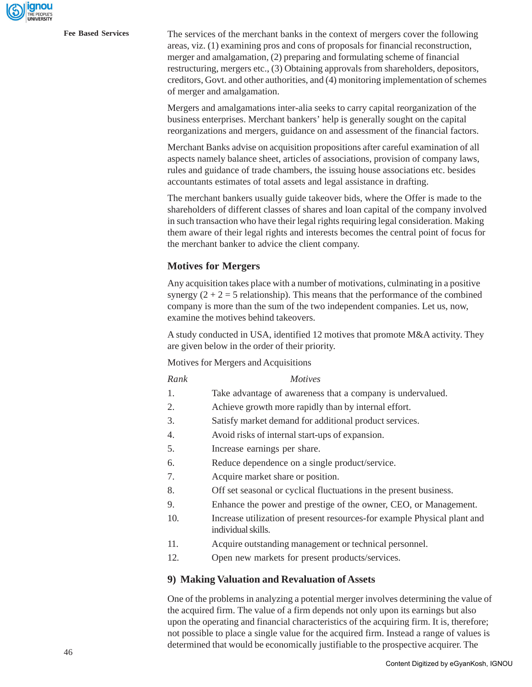**Fee Based Services** The services of the merchant banks in the context of mergers cover the following areas, viz. (1) examining pros and cons of proposals for financial reconstruction, merger and amalgamation, (2) preparing and formulating scheme of financial restructuring, mergers etc., (3) Obtaining approvals from shareholders, depositors, creditors, Govt. and other authorities, and (4) monitoring implementation of schemes of merger and amalgamation.

> Mergers and amalgamations inter-alia seeks to carry capital reorganization of the business enterprises. Merchant bankers' help is generally sought on the capital reorganizations and mergers, guidance on and assessment of the financial factors.

> Merchant Banks advise on acquisition propositions after careful examination of all aspects namely balance sheet, articles of associations, provision of company laws, rules and guidance of trade chambers, the issuing house associations etc. besides accountants estimates of total assets and legal assistance in drafting.

The merchant bankers usually guide takeover bids, where the Offer is made to the shareholders of different classes of shares and loan capital of the company involved in such transaction who have their legal rights requiring legal consideration. Making them aware of their legal rights and interests becomes the central point of focus for the merchant banker to advice the client company.

#### **Motives for Mergers**

Any acquisition takes place with a number of motivations, culminating in a positive synergy  $(2 + 2 = 5$  relationship). This means that the performance of the combined company is more than the sum of the two independent companies. Let us, now, examine the motives behind takeovers.

A study conducted in USA, identified 12 motives that promote M&A activity. They are given below in the order of their priority.

Motives for Mergers and Acquisitions

#### *Rank Motives*

- 1. Take advantage of awareness that a company is undervalued.
- 2. Achieve growth more rapidly than by internal effort.
- 3. Satisfy market demand for additional product services.
- 4. Avoid risks of internal start-ups of expansion.
- 5. Increase earnings per share.
- 6. Reduce dependence on a single product/service.
- 7. Acquire market share or position.
- 8. Off set seasonal or cyclical fluctuations in the present business.
- 9. Enhance the power and prestige of the owner, CEO, or Management.
- 10. Increase utilization of present resources-for example Physical plant and individual skills.
- 11. Acquire outstanding management or technical personnel.
- 12. Open new markets for present products/services.

#### **9) Making Valuation and Revaluation of Assets**

One of the problems in analyzing a potential merger involves determining the value of the acquired firm. The value of a firm depends not only upon its earnings but also upon the operating and financial characteristics of the acquiring firm. It is, therefore; not possible to place a single value for the acquired firm. Instead a range of values is determined that would be economically justifiable to the prospective acquirer. The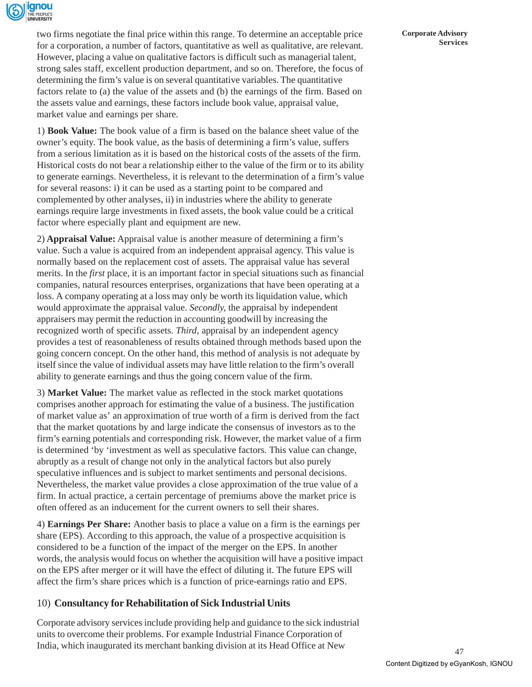

two firms negotiate the final price within this range. To determine an acceptable price for a corporation, a number of factors, quantitative as well as qualitative, are relevant. However, placing a value on qualitative factors is difficult such as managerial talent, strong sales staff, excellent production department, and so on. Therefore, the focus of determining the firm's value is on several quantitative variables. The quantitative factors relate to (a) the value of the assets and (b) the earnings of the firm. Based on the assets value and earnings, these factors include book value, appraisal value, market value and earnings per share.

1) **Book Value:** The book value of a firm is based on the balance sheet value of the owner's equity. The book value, as the basis of determining a firm's value, suffers from a serious limitation as it is based on the historical costs of the assets of the firm. Historical costs do not bear a relationship either to the value of the firm or to its ability to generate earnings. Nevertheless, it is relevant to the determination of a firm's value for several reasons: i) it can be used as a starting point to be compared and complemented by other analyses, ii) in industries where the ability to generate earnings require large investments in fixed assets, the book value could be a critical factor where especially plant and equipment are new.

2) **Appraisal Value:** Appraisal value is another measure of determining a firm's value. Such a value is acquired from an independent appraisal agency. This value is normally based on the replacement cost of assets. The appraisal value has several merits. In the *first* place, it is an important factor in special situations such as financial companies, natural resources enterprises, organizations that have been operating at a loss. A company operating at a loss may only be worth its liquidation value, which would approximate the appraisal value. *Secondly,* the appraisal by independent appraisers may permit the reduction in accounting goodwill by increasing the recognized worth of specific assets. *Third,* appraisal by an independent agency provides a test of reasonableness of results obtained through methods based upon the going concern concept. On the other hand, this method of analysis is not adequate by itself since the value of individual assets may have little relation to the firm's overall ability to generate earnings and thus the going concern value of the firm.

3) **Market Value:** The market value as reflected in the stock market quotations comprises another approach for estimating the value of a business. The justification of market value as' an approximation of true worth of a firm is derived from the fact that the market quotations by and large indicate the consensus of investors as to the firm's earning potentials and corresponding risk. However, the market value of a firm is determined 'by 'investment as well as speculative factors. This value can change, abruptly as a result of change not only in the analytical factors but also purely speculative influences and is subject to market sentiments and personal decisions. Nevertheless, the market value provides a close approximation of the true value of a firm. In actual practice, a certain percentage of premiums above the market price is often offered as an inducement for the current owners to sell their shares.

4) **Earnings Per Share:** Another basis to place a value on a firm is the earnings per share (EPS). According to this approach, the value of a prospective acquisition is considered to be a function of the impact of the merger on the EPS. In another words, the analysis would focus on whether the acquisition will have a positive impact on the EPS after merger or it will have the effect of diluting it. The future EPS will affect the firm's share prices which is a function of price-earnings ratio and EPS.

## 10) **Consultancy for Rehabilitation of Sick Industrial Units**

Corporate advisory services include providing help and guidance to the sick industrial units to overcome their problems. For example Industrial Finance Corporation of India, which inaugurated its merchant banking division at its Head Office at New

**Corporate Advisory Services**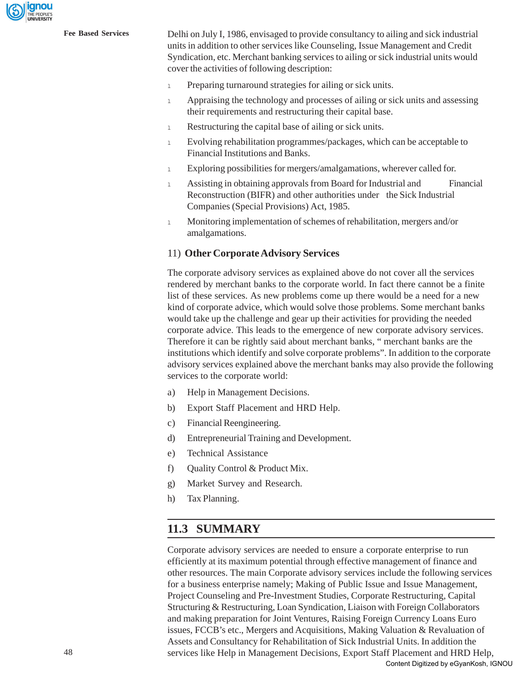

**Fee Based Services** Delhi on July I, 1986, envisaged to provide consultancy to ailing and sick industrial units in addition to other services like Counseling, Issue Management and Credit Syndication, etc. Merchant banking services to ailing or sick industrial units would cover the activities of following description:

- <sup>l</sup> Preparing turnaround strategies for ailing or sick units.
- <sup>l</sup> Appraising the technology and processes of ailing or sick units and assessing their requirements and restructuring their capital base.
- 1 Restructuring the capital base of ailing or sick units.
- <sup>l</sup> Evolving rehabilitation programmes/packages, which can be acceptable to Financial Institutions and Banks.
- <sup>l</sup> Exploring possibilities for mergers/amalgamations, wherever called for.
- <sup>l</sup> Assisting in obtaining approvals from Board for Industrial and Financial Reconstruction (BIFR) and other authorities under the Sick Industrial Companies (Special Provisions) Act, 1985.
- <sup>l</sup> Monitoring implementation of schemes of rehabilitation, mergers and/or amalgamations.

#### 11) **Other Corporate Advisory Services**

The corporate advisory services as explained above do not cover all the services rendered by merchant banks to the corporate world. In fact there cannot be a finite list of these services. As new problems come up there would be a need for a new kind of corporate advice, which would solve those problems. Some merchant banks would take up the challenge and gear up their activities for providing the needed corporate advice. This leads to the emergence of new corporate advisory services. Therefore it can be rightly said about merchant banks, " merchant banks are the institutions which identify and solve corporate problems". In addition to the corporate advisory services explained above the merchant banks may also provide the following services to the corporate world:

- a) Help in Management Decisions.
- b) Export Staff Placement and HRD Help.
- c) Financial Reengineering.
- d) Entrepreneurial Training and Development.
- e) Technical Assistance
- f) Quality Control & Product Mix.
- g) Market Survey and Research.
- h) Tax Planning.

# **11.3 SUMMARY**

Corporate advisory services are needed to ensure a corporate enterprise to run efficiently at its maximum potential through effective management of finance and other resources. The main Corporate advisory services include the following services for a business enterprise namely; Making of Public Issue and Issue Management, Project Counseling and Pre-Investment Studies, Corporate Restructuring, Capital Structuring & Restructuring, Loan Syndication, Liaison with Foreign Collaborators and making preparation for Joint Ventures, Raising Foreign Currency Loans Euro issues, FCCB's etc., Mergers and Acquisitions, Making Valuation & Revaluation of Assets and Consultancy for Rehabilitation of Sick Industrial Units. In addition the services like Help in Management Decisions, Export Staff Placement and HRD Help, Content Digitized by eGyanKosh, IGNOU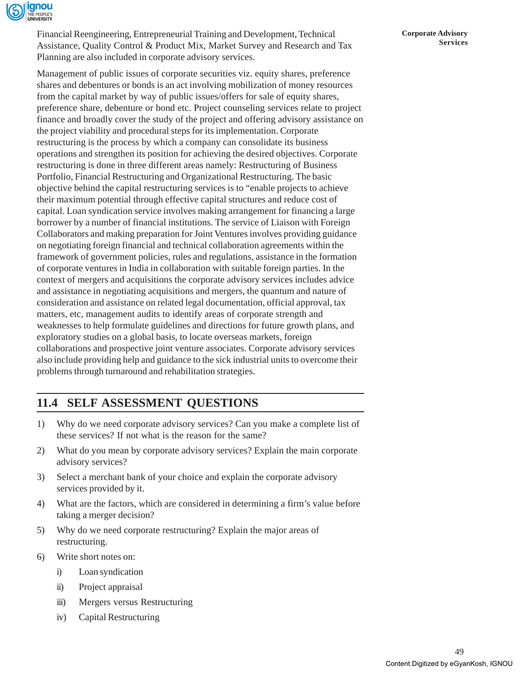

Financial Reengineering, Entrepreneurial Training and Development, Technical Assistance, Quality Control & Product Mix, Market Survey and Research and Tax Planning are also included in corporate advisory services.

Management of public issues of corporate securities viz. equity shares, preference shares and debentures or bonds is an act involving mobilization of money resources from the capital market by way of public issues/offers for sale of equity shares, preference share, debenture or bond etc. Project counseling services relate to project finance and broadly cover the study of the project and offering advisory assistance on the project viability and procedural steps for its implementation. Corporate restructuring is the process by which a company can consolidate its business operations and strengthen its position for achieving the desired objectives. Corporate restructuring is done in three different areas namely: Restructuring of Business Portfolio, Financial Restructuring and Organizational Restructuring. The basic objective behind the capital restructuring services is to "enable projects to achieve their maximum potential through effective capital structures and reduce cost of capital. Loan syndication service involves making arrangement for financing a large borrower by a number of financial institutions. The service of Liaison with Foreign Collaborators and making preparation for Joint Ventures involves providing guidance on negotiating foreign financial and technical collaboration agreements within the framework of government policies, rules and regulations, assistance in the formation of corporate ventures in India in collaboration with suitable foreign parties. In the context of mergers and acquisitions the corporate advisory services includes advice and assistance in negotiating acquisitions and mergers, the quantum and nature of consideration and assistance on related legal documentation, official approval, tax matters, etc, management audits to identify areas of corporate strength and weaknesses to help formulate guidelines and directions for future growth plans, and exploratory studies on a global basis, to locate overseas markets, foreign collaborations and prospective joint venture associates. Corporate advisory services also include providing help and guidance to the sick industrial units to overcome their problems through turnaround and rehabilitation strategies.

# **11.4 SELF ASSESSMENT QUESTIONS**

- 1) Why do we need corporate advisory services? Can you make a complete list of these services? If not what is the reason for the same?
- 2) What do you mean by corporate advisory services? Explain the main corporate advisory services?
- 3) Select a merchant bank of your choice and explain the corporate advisory services provided by it.
- 4) What are the factors, which are considered in determining a firm's value before taking a merger decision?
- 5) Why do we need corporate restructuring? Explain the major areas of restructuring.
- 6) Write short notes on:
	- i) Loan syndication
	- ii) Project appraisal
	- iii) Mergers versus Restructuring
	- iv) Capital Restructuring